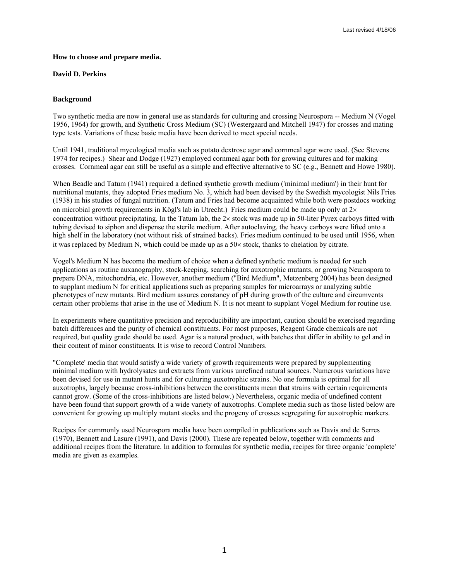### **How to choose and prepare media.**

### **David D. Perkins**

### **Background**

Two synthetic media are now in general use as standards for culturing and crossing Neurospora -- Medium N (Vogel 1956, 1964) for growth, and Synthetic Cross Medium (SC) (Westergaard and Mitchell 1947) for crosses and mating type tests. Variations of these basic media have been derived to meet special needs.

Until 1941, traditional mycological media such as potato dextrose agar and cornmeal agar were used. (See Stevens 1974 for recipes.) Shear and Dodge (1927) employed cornmeal agar both for growing cultures and for making crosses. Cornmeal agar can still be useful as a simple and effective alternative to SC (e.g., Bennett and Howe 1980).

When Beadle and Tatum (1941) required a defined synthetic growth medium ('minimal medium') in their hunt for nutritional mutants, they adopted Fries medium No. 3, which had been devised by the Swedish mycologist Nils Fries (1938) in his studies of fungal nutrition. (Tatum and Fries had become acquainted while both were postdocs working on microbial growth requirements in Kőgl's lab in Utrecht.) Fries medium could be made up only at  $2\times$ concentration without precipitating. In the Tatum lab, the 2× stock was made up in 50-liter Pyrex carboys fitted with tubing devised to siphon and dispense the sterile medium. After autoclaving, the heavy carboys were lifted onto a high shelf in the laboratory (not without risk of strained backs). Fries medium continued to be used until 1956, when it was replaced by Medium N, which could be made up as a 50× stock, thanks to chelation by citrate.

Vogel's Medium N has become the medium of choice when a defined synthetic medium is needed for such applications as routine auxanography, stock-keeping, searching for auxotrophic mutants, or growing Neurospora to prepare DNA, mitochondria, etc. However, another medium ("Bird Medium", Metzenberg 2004) has been designed to supplant medium N for critical applications such as preparing samples for microarrays or analyzing subtle phenotypes of new mutants. Bird medium assures constancy of pH during growth of the culture and circumvents certain other problems that arise in the use of Medium N. It is not meant to supplant Vogel Medium for routine use.

In experiments where quantitative precision and reproducibility are important, caution should be exercised regarding batch differences and the purity of chemical constituents. For most purposes, Reagent Grade chemicals are not required, but quality grade should be used. Agar is a natural product, with batches that differ in ability to gel and in their content of minor constituents. It is wise to record Control Numbers.

"Complete' media that would satisfy a wide variety of growth requirements were prepared by supplementing minimal medium with hydrolysates and extracts from various unrefined natural sources. Numerous variations have been devised for use in mutant hunts and for culturing auxotrophic strains. No one formula is optimal for all auxotrophs, largely because cross-inhibitions between the constituents mean that strains with certain requirements cannot grow. (Some of the cross-inhibitions are listed below.) Nevertheless, organic media of undefined content have been found that support growth of a wide variety of auxotrophs. Complete media such as those listed below are convenient for growing up multiply mutant stocks and the progeny of crosses segregating for auxotrophic markers.

Recipes for commonly used Neurospora media have been compiled in publications such as Davis and de Serres (1970), Bennett and Lasure (1991), and Davis (2000). These are repeated below, together with comments and additional recipes from the literature. In addition to formulas for synthetic media, recipes for three organic 'complete' media are given as examples.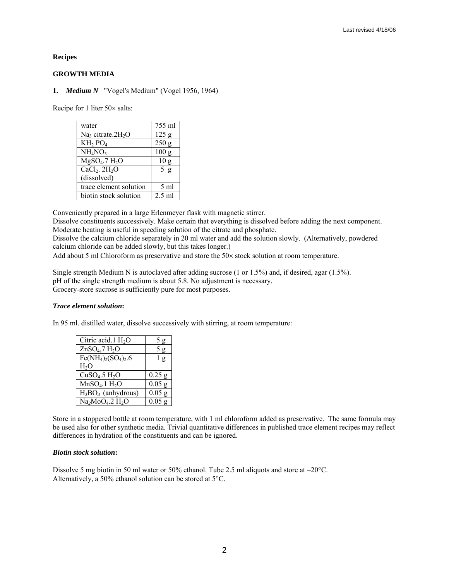**Recipes** 

### **GROWTH MEDIA**

**1.** *Medium N* "Vogel's Medium" (Vogel 1956, 1964)

Recipe for 1 liter 50× salts:

| water                           | 755 ml           |
|---------------------------------|------------------|
| $Na3$ citrate.2H <sub>2</sub> O | 125 g            |
| $KH2$ PO <sub>4</sub>           | 250 g            |
| NH <sub>4</sub> NO <sub>3</sub> | 100 <sub>g</sub> |
| $MgSO4$ .7 $H2O$                | 10 <sub>g</sub>  |
| $CaCl2$ . $2H2O$                | 5 g              |
| (dissolved)                     |                  |
| trace element solution          | $5 \text{ ml}$   |
| biotin stock solution           | $2.5$ ml         |

Conveniently prepared in a large Erlenmeyer flask with magnetic stirrer.

Dissolve constituents successively. Make certain that everything is dissolved before adding the next component. Moderate heating is useful in speeding solution of the citrate and phosphate.

Dissolve the calcium chloride separately in 20 ml water and add the solution slowly. (Alternatively, powdered calcium chloride can be added slowly, but this takes longer.)

Add about 5 ml Chloroform as preservative and store the 50× stock solution at room temperature.

Single strength Medium N is autoclaved after adding sucrose (1 or 1.5%) and, if desired, agar (1.5%). pH of the single strength medium is about 5.8. No adjustment is necessary. Grocery-store sucrose is sufficiently pure for most purposes.

### *Trace element solution***:**

In 95 ml. distilled water, dissolve successively with stirring, at room temperature:

| Citric acid.1 $H_2O$                  | 5 g            |
|---------------------------------------|----------------|
| ZnSO <sub>4</sub> ,7 H <sub>2</sub> O | 5 g            |
| $Fe(NH4)2(SO4)2.6$                    | 1 <sub>g</sub> |
| H <sub>2</sub> O                      |                |
|                                       |                |
| $CuSO4$ .5 $H2O$                      | $0.25$ g       |
| $MnSO4$ .1 $H2O$                      | $0.05$ g       |
| $H_3BO_3$ (anhydrous)                 | $0.05$ g       |

Store in a stoppered bottle at room temperature, with 1 ml chloroform added as preservative. The same formula may be used also for other synthetic media. Trivial quantitative differences in published trace element recipes may reflect differences in hydration of the constituents and can be ignored.

### *Biotin stock solution***:**

Dissolve 5 mg biotin in 50 ml water or 50% ethanol. Tube 2.5 ml aliquots and store at −20°C. Alternatively, a 50% ethanol solution can be stored at 5°C.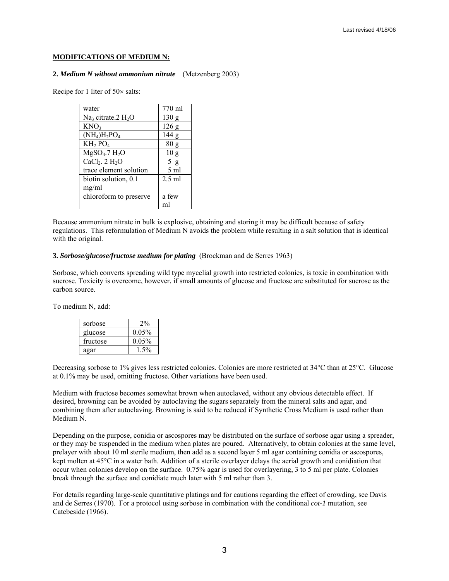### **MODIFICATIONS OF MEDIUM N:**

#### **2.** *Medium N without ammonium nitrate* (Metzenberg 2003)

Recipe for 1 liter of 50× salts:

| water                            | 770 ml           |
|----------------------------------|------------------|
| Na <sub>3</sub> citrate.2 $H_2O$ | 130 <sub>g</sub> |
| KNO <sub>3</sub>                 | 126g             |
| $(NH_4)H_2PO_4$                  | 144 g            |
| $KH2$ PO <sub>4</sub>            | 80 g             |
| $MgSO4$ .7 $H2O$                 | 10 <sub>g</sub>  |
| $CaCl2$ . 2 H <sub>2</sub> O     | 5g               |
| trace element solution           | $5 \text{ ml}$   |
| biotin solution, 0.1             | $2.5$ ml         |
| mg/ml                            |                  |
| chloroform to preserve           | a few            |
|                                  | ml               |

Because ammonium nitrate in bulk is explosive, obtaining and storing it may be difficult because of safety regulations. This reformulation of Medium N avoids the problem while resulting in a salt solution that is identical with the original.

### **3.** *Sorbose/glucose/fructose medium for plating* (Brockman and de Serres 1963)

Sorbose, which converts spreading wild type mycelial growth into restricted colonies, is toxic in combination with sucrose. Toxicity is overcome, however, if small amounts of glucose and fructose are substituted for sucrose as the carbon source.

To medium N, add:

| sorbose  |          |
|----------|----------|
| glucose  | 0.05%    |
| fructose | $0.05\%$ |
| agar     |          |

Decreasing sorbose to 1% gives less restricted colonies. Colonies are more restricted at 34°C than at 25°C. Glucose at 0.1% may be used, omitting fructose. Other variations have been used.

Medium with fructose becomes somewhat brown when autoclaved, without any obvious detectable effect. If desired, browning can be avoided by autoclaving the sugars separately from the mineral salts and agar, and combining them after autoclaving. Browning is said to be reduced if Synthetic Cross Medium is used rather than Medium N.

Depending on the purpose, conidia or ascospores may be distributed on the surface of sorbose agar using a spreader, or they may be suspended in the medium when plates are poured. Alternatively, to obtain colonies at the same level, prelayer with about 10 ml sterile medium, then add as a second layer 5 ml agar containing conidia or ascospores, kept molten at 45°C in a water bath. Addition of a sterile overlayer delays the aerial growth and conidiation that occur when colonies develop on the surface. 0.75% agar is used for overlayering, 3 to 5 ml per plate. Colonies break through the surface and conidiate much later with 5 ml rather than 3.

For details regarding large-scale quantitative platings and for cautions regarding the effect of crowding, see Davis and de Serres (1970). For a protocol using sorbose in combination with the conditional *cot-1* mutation, see Catcbeside (1966).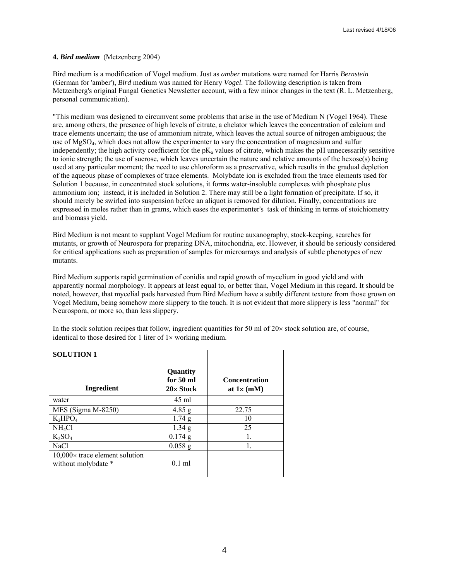# **4.** *Bird medium* (Metzenberg 2004)

Bird medium is a modification of Vogel medium. Just as *amber* mutations were named for Harris *Bernstein* (German for 'amber'), *Bird* medium was named for Henry *Vogel*. The following description is taken from Metzenberg's original Fungal Genetics Newsletter account, with a few minor changes in the text (R. L. Metzenberg, personal communication).

"This medium was designed to circumvent some problems that arise in the use of Medium N (Vogel 1964). These are, among others, the presence of high levels of citrate, a chelator which leaves the concentration of calcium and trace elements uncertain; the use of ammonium nitrate, which leaves the actual source of nitrogen ambiguous; the use of MgSO4, which does not allow the experimenter to vary the concentration of magnesium and sulfur independently; the high activity coefficient for the  $pK_a$  values of citrate, which makes the  $pH$  unnecessarily sensitive to ionic strength; the use of sucrose, which leaves uncertain the nature and relative amounts of the hexose(s) being used at any particular moment; the need to use chloroform as a preservative, which results in the gradual depletion of the aqueous phase of complexes of trace elements. Molybdate ion is excluded from the trace elements used for Solution 1 because, in concentrated stock solutions, it forms water-insoluble complexes with phosphate plus ammonium ion; instead, it is included in Solution 2. There may still be a light formation of precipitate. If so, it should merely be swirled into suspension before an aliquot is removed for dilution. Finally, concentrations are expressed in moles rather than in grams, which eases the experimenter's task of thinking in terms of stoichiometry and biomass yield.

Bird Medium is not meant to supplant Vogel Medium for routine auxanography, stock-keeping, searches for mutants, or growth of Neurospora for preparing DNA, mitochondria, etc. However, it should be seriously considered for critical applications such as preparation of samples for microarrays and analysis of subtle phenotypes of new mutants.

Bird Medium supports rapid germination of conidia and rapid growth of mycelium in good yield and with apparently normal morphology. It appears at least equal to, or better than, Vogel Medium in this regard. It should be noted, however, that mycelial pads harvested from Bird Medium have a subtly different texture from those grown on Vogel Medium, being somehow more slippery to the touch. It is not evident that more slippery is less "normal" for Neurospora, or more so, than less slippery.

In the stock solution recipes that follow, ingredient quantities for 50 ml of  $20\times$  stock solution are, of course, identical to those desired for 1 liter of  $1\times$  working medium.

| <b>SOLUTION 1</b>                                            |                                    |                                            |
|--------------------------------------------------------------|------------------------------------|--------------------------------------------|
| Ingredient                                                   | Quantity<br>for 50 ml<br>20x Stock | <b>Concentration</b><br>at $1 \times (mM)$ |
| water                                                        | 45 ml                              |                                            |
| MES (Sigma M-8250)                                           | $4.85$ g                           | 22.75                                      |
| $K_2HPO_4$                                                   | 1.74 g                             | 10                                         |
| NH <sub>4</sub> Cl                                           | $1.34$ g                           | 25                                         |
| $K_2SO_4$                                                    | $0.174$ g                          | 1.                                         |
| NaCl                                                         | $0.058$ g                          |                                            |
| $10,000\times$ trace element solution<br>without molybdate * | $0.1$ ml                           |                                            |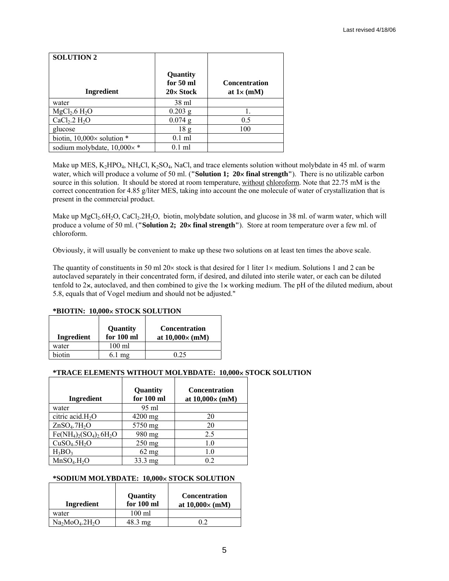| <b>SOLUTION 2</b>                    |                                    |                                            |
|--------------------------------------|------------------------------------|--------------------------------------------|
| Ingredient                           | Quantity<br>for 50 ml<br>20x Stock | <b>Concentration</b><br>at $1 \times (mM)$ |
| water                                | 38 ml                              |                                            |
| $MgCl2$ .6 H <sub>2</sub> O          | $0.203$ g                          |                                            |
| $CaCl2$ .2 H <sub>2</sub> O          | $0.074$ g                          | 0.5                                        |
| glucose                              | 18 <sub>g</sub>                    | 100                                        |
| biotin, $10,000 \times$ solution $*$ | $0.1$ ml                           |                                            |
| sodium molybdate, $10,000 \times$ *  | $0.1$ ml                           |                                            |

Make up MES, K<sub>2</sub>HPO<sub>4</sub>, NH<sub>4</sub>Cl, K<sub>2</sub>SO<sub>4</sub>, NaCl, and trace elements solution without molybdate in 45 ml. of warm water, which will produce a volume of 50 ml. (**"Solution 1; 20**× **final strength"**). There is no utilizable carbon source in this solution. It should be stored at room temperature, without chloroform. Note that 22.75 mM is the correct concentration for 4.85 g/liter MES, taking into account the one molecule of water of crystallization that is present in the commercial product.

Make up MgCl<sub>2</sub>.6H<sub>2</sub>O, CaCl<sub>2</sub>.2H<sub>2</sub>O, biotin, molybdate solution, and glucose in 38 ml. of warm water, which will produce a volume of 50 ml. (**"Solution 2; 20**× **final strength"**). Store at room temperature over a few ml. of chloroform.

Obviously, it will usually be convenient to make up these two solutions on at least ten times the above scale.

The quantity of constituents in 50 ml 20 $\times$  stock is that desired for 1 liter 1 $\times$  medium. Solutions 1 and 2 can be autoclaved separately in their concentrated form, if desired, and diluted into sterile water, or each can be diluted tenfold to  $2x$ , autoclaved, and then combined to give the  $1x$  working medium. The pH of the diluted medium, about 5.8, equals that of Vogel medium and should not be adjusted."

### **\*BIOTIN: 10,000**× **STOCK SOLUTION**

| Ingredient | <b>Quantity</b><br>for $100 \text{ ml}$ | <b>Concentration</b><br>at $10,000 \times (mM)$ |
|------------|-----------------------------------------|-------------------------------------------------|
| water      | $100 \text{ ml}$                        |                                                 |
| biotin     | $6.1 \text{ mg}$                        | 0.25                                            |

# **\*TRACE ELEMENTS WITHOUT MOLYBDATE: 10,000**× **STOCK SOLUTION**

| Ingredient                           | Quantity<br>for 100 ml | <b>Concentration</b><br>at $10,000 \times (mM)$ |
|--------------------------------------|------------------------|-------------------------------------------------|
| water                                | 95 ml                  |                                                 |
| citric acid.H <sub>2</sub> O         | $4200$ mg              | 20                                              |
| ZnSO <sub>4</sub> .7H <sub>2</sub> O | 5750 mg                | 20                                              |
| $Fe(NH_4)_2(SO_4)_2 6H_2O$           | 980 mg                 | 2.5                                             |
| CuSO <sub>4</sub> .5H <sub>2</sub> O | $250$ mg               | 1.0                                             |
| $H_3BO_3$                            | $62$ mg                | 1.0                                             |
| MnSO <sub>4</sub> .H <sub>2</sub> O  | $33.3 \text{ mg}$      | 02                                              |

### **\*SODIUM MOLYBDATE: 10,000**× **STOCK SOLUTION**

| Ingredient     | <b>Quantity</b><br>for 100 ml | <b>Concentration</b><br>at $10,000 \times (mM)$ |
|----------------|-------------------------------|-------------------------------------------------|
| water          | $100 \text{ ml}$              |                                                 |
| $Na2MoO4.2H2O$ | $48.3 \text{ mg}$             |                                                 |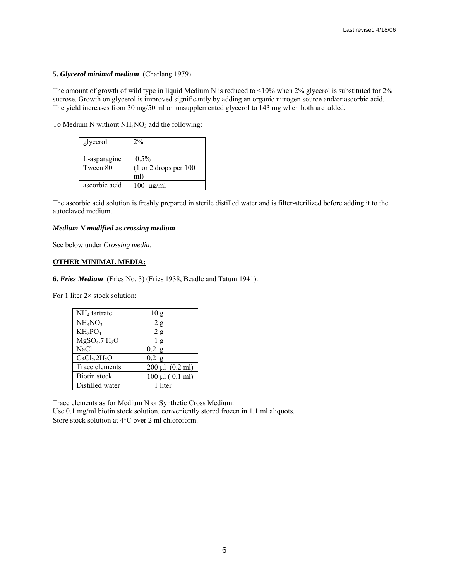### **5.** *Glycerol minimal medium* (Charlang 1979)

The amount of growth of wild type in liquid Medium N is reduced to <10% when 2% glycerol is substituted for 2% sucrose. Growth on glycerol is improved significantly by adding an organic nitrogen source and/or ascorbic acid. The yield increases from 30 mg/50 ml on unsupplemented glycerol to 143 mg when both are added.

To Medium N without  $NH<sub>4</sub>NO<sub>3</sub>$  add the following:

| glycerol      | $2\%$                                     |
|---------------|-------------------------------------------|
|               |                                           |
| L-asparagine  | $0.5\%$                                   |
| Tween 80      | $(1 \text{ or } 2 \text{ drops per } 100$ |
|               | ml)                                       |
| ascorbic acid | $100 \text{ µg/ml}$                       |

The ascorbic acid solution is freshly prepared in sterile distilled water and is filter-sterilized before adding it to the autoclaved medium.

## *Medium N modified* **as** *crossing medium*

See below under *Crossing media*.

# **OTHER MINIMAL MEDIA:**

**6.** *Fries Medium* (Fries No. 3) (Fries 1938, Beadle and Tatum 1941).

For 1 liter 2× stock solution:

| $NH4$ tartrate                           | 10 <sub>g</sub>      |
|------------------------------------------|----------------------|
| NH <sub>4</sub> NO <sub>3</sub>          | 2g                   |
| $KH_2PO_4$                               | 2g                   |
| $M$ gSO <sub>4</sub> .7 H <sub>2</sub> O | 1g                   |
| <b>NaCl</b>                              | $0.2$ g              |
| CaCl <sub>2</sub> .2H <sub>2</sub> O     | $0.2$ g              |
| Trace elements                           | $200 \mu l$ (0.2 ml) |
| <b>Biotin</b> stock                      | $100 \mu l$ (0.1 ml) |
| Distilled water                          | 1 liter              |

Trace elements as for Medium N or Synthetic Cross Medium.

Use 0.1 mg/ml biotin stock solution, conveniently stored frozen in 1.1 ml aliquots. Store stock solution at 4°C over 2 ml chloroform.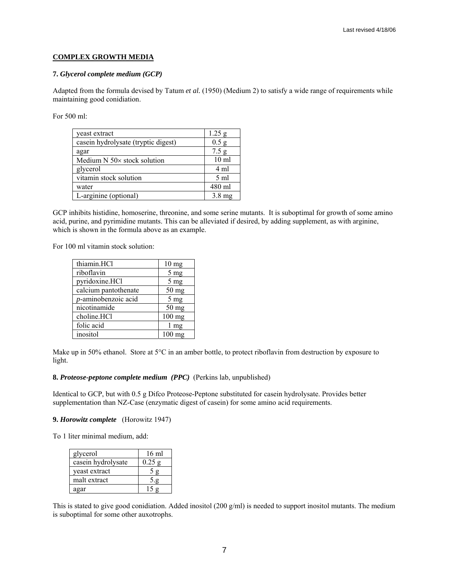# **COMPLEX GROWTH MEDIA**

### **7.** *Glycerol complete medium (GCP)*

Adapted from the formula devised by Tatum *et al.* (1950) (Medium 2) to satisfy a wide range of requirements while maintaining good conidiation.

For 500 ml:

| yeast extract                         | $1.25$ g         |
|---------------------------------------|------------------|
| casein hydrolysate (tryptic digest)   | 0.5 g            |
| agar                                  | 7.5 g            |
| Medium $N$ 50 $\times$ stock solution | 10 <sub>ml</sub> |
| glycerol                              | 4 ml             |
| vitamin stock solution                | $5 \text{ ml}$   |
| water                                 | 480 ml           |
| L-arginine (optional)                 | $3.8 \text{ mg}$ |

GCP inhibits histidine, homoserine, threonine, and some serine mutants. It is suboptimal for growth of some amino acid, purine, and pyrimidine mutants. This can be alleviated if desired, by adding supplement, as with arginine, which is shown in the formula above as an example.

For 100 ml vitamin stock solution:

| thiamin.HCl                 | 10 <sub>mg</sub> |
|-----------------------------|------------------|
| riboflavin                  | $5 \text{ mg}$   |
| pyridoxine.HCl              | 5 <sub>mg</sub>  |
| calcium pantothenate        | $50$ mg          |
| <i>p</i> -aminobenzoic acid | 5 <sub>mg</sub>  |
| nicotinamide                | $50$ mg          |
| choline.HCl                 | 100 mg           |
| folic acid                  | 1 mg             |
| inositol                    | $100$ mg         |

Make up in 50% ethanol. Store at 5°C in an amber bottle, to protect riboflavin from destruction by exposure to light.

### **8.** *Proteose-peptone complete medium (PPC)* (Perkins lab, unpublished)

Identical to GCP, but with 0.5 g Difco Proteose-Peptone substituted for casein hydrolysate. Provides better supplementation than NZ-Case (enzymatic digest of casein) for some amino acid requirements.

#### **9.** *Horowitz complete* (Horowitz 1947)

To 1 liter minimal medium, add:

| glycerol           | 16 ml |
|--------------------|-------|
| casein hydrolysate | 0.25  |
| yeast extract      |       |
| malt extract       |       |
| agar               | 15g   |

This is stated to give good conidiation. Added inositol (200 g/ml) is needed to support inositol mutants. The medium is suboptimal for some other auxotrophs.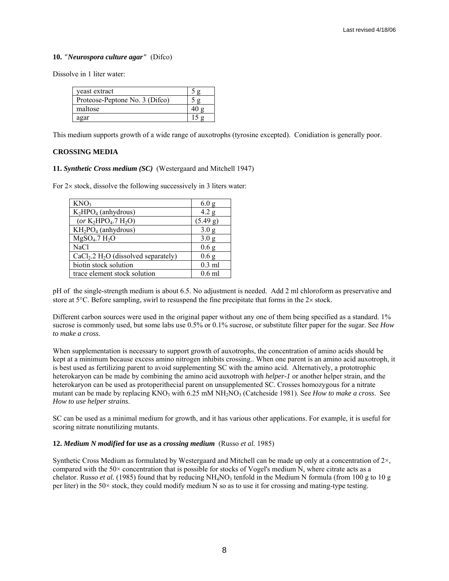### **10.** *"Neurospora culture agar"* (Difco)

Dissolve in 1 liter water:

| veast extract                  |  |
|--------------------------------|--|
| Proteose-Peptone No. 3 (Difco) |  |
| maltose                        |  |
| agar                           |  |

This medium supports growth of a wide range of auxotrophs (tyrosine excepted). Conidiation is generally poor.

# **CROSSING MEDIA**

### **11.** *Synthetic Cross medium (SC)* (Westergaard and Mitchell 1947)

For  $2\times$  stock, dissolve the following successively in 3 liters water:

| KNO <sub>3</sub>                                   | 6.0 <sub>g</sub> |
|----------------------------------------------------|------------------|
| $K2HPO4$ (anhydrous)                               | 4.2 g            |
| (or $K_2HPO_4.7 H_2O$ )                            | (5.49 g)         |
| $KH_2PO_4$ (anhydrous)                             | 3.0 <sub>g</sub> |
| $MgSO4$ .7 $H2O$                                   | 3.0 <sub>g</sub> |
| <b>NaCl</b>                                        | 0.6 <sub>g</sub> |
| $CaCl2$ .2 H <sub>2</sub> O (dissolved separately) | 0.6 <sub>g</sub> |
| biotin stock solution                              | $0.3$ ml         |
| trace element stock solution                       | $0.6$ ml         |

pH of the single-strength medium is about 6.5. No adjustment is needed. Add 2 ml chloroform as preservative and store at 5°C. Before sampling, swirl to resuspend the fine precipitate that forms in the 2× stock.

Different carbon sources were used in the original paper without any one of them being specified as a standard. 1% sucrose is commonly used, but some labs use 0.5% or 0.1% sucrose, or substitute filter paper for the sugar. See *How to make a cross*.

When supplementation is necessary to support growth of auxotrophs, the concentration of amino acids should be kept at a minimum because excess amino nitrogen inhibits crossing.. When one parent is an amino acid auxotroph, it is best used as fertilizing parent to avoid supplementing SC with the amino acid. Alternatively, a prototrophic heterokaryon can be made by combining the amino acid auxotroph with *helper-1* or another helper strain, and the heterokaryon can be used as protoperithecial parent on unsupplemented SC. Crosses homozygous for a nitrate mutant can be made by replacing KNO3 with 6.25 mM NH2NO3 (Catcheside 1981). See *How to make a cross*. See *How to use helper strains*.

SC can be used as a minimal medium for growth, and it has various other applications. For example, it is useful for scoring nitrate nonutilizing mutants.

### **12.** *Medium N modified* **for use as a** *crossing medium* (Russo *et al.* 1985)

Synthetic Cross Medium as formulated by Westergaard and Mitchell can be made up only at a concentration of 2×, compared with the 50× concentration that is possible for stocks of Vogel's medium N, where citrate acts as a chelator. Russo *et al.* (1985) found that by reducing NH<sub>4</sub>NO<sub>3</sub> tenfold in the Medium N formula (from 100 g to 10 g per liter) in the 50× stock, they could modify medium N so as to use it for crossing and mating-type testing.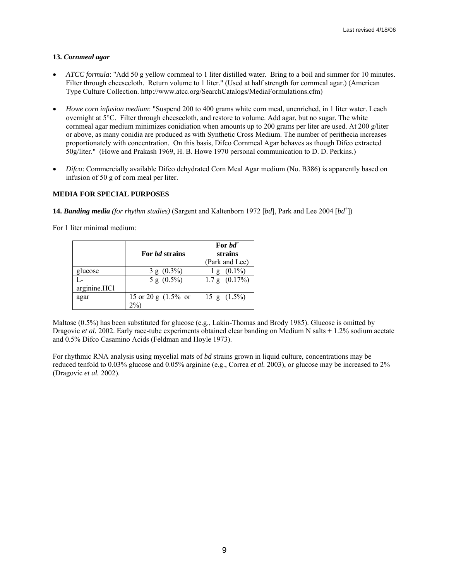# **13.** *Cornmeal agar*

- *ATCC formula*: "Add 50 g yellow cornmeal to 1 liter distilled water. Bring to a boil and simmer for 10 minutes. Filter through cheesecloth. Return volume to 1 liter." (Used at half strength for cornmeal agar.) (American Type Culture Collection. http://www.atcc.org/SearchCatalogs/MediaFormulations.cfm)
- *Howe corn infusion medium*: "Suspend 200 to 400 grams white corn meal, unenriched, in 1 liter water. Leach overnight at 5°C. Filter through cheesecloth, and restore to volume. Add agar, but no sugar. The white cornmeal agar medium minimizes conidiation when amounts up to 200 grams per liter are used. At 200 g/liter or above, as many conidia are produced as with Synthetic Cross Medium. The number of perithecia increases proportionately with concentration. On this basis, Difco Cornmeal Agar behaves as though Difco extracted 50g/liter." (Howe and Prakash 1969, H. B. Howe 1970 personal communication to D. D. Perkins.)
- *Difco*: Commercially available Difco dehydrated Corn Meal Agar medium (No. B386) is apparently based on infusion of 50 g of corn meal per liter.

# **MEDIA FOR SPECIAL PURPOSES**

**14.** *Banding media (for rhythm studies)* (Sargent and Kaltenborn 1972 [*bd*], Park and Lee 2004 [*bd*<sup>+</sup> ])

For 1 liter minimal medium:

|              | For <i>hd</i> strains  | For $bd^+$<br>strains<br>(Park and Lee) |
|--------------|------------------------|-----------------------------------------|
| glucose      | $3 g (0.3\%)$          | $(0.1\%)$<br>$\cdot$ g                  |
|              | 5 g $(0.5\%)$          | $1.7\,\mathrm{g}$ $(0.17\%)$            |
| arginine.HCl |                        |                                         |
| agar         | 15 or 20 g $(1.5\%$ or | 15 g $(1.5\%)$                          |
|              | 2%                     |                                         |

Maltose (0.5%) has been substituted for glucose (e.g., Lakin-Thomas and Brody 1985). Glucose is omitted by Dragovic *et al.* 2002. Early race-tube experiments obtained clear banding on Medium N salts + 1.2% sodium acetate and 0.5% Difco Casamino Acids (Feldman and Hoyle 1973).

For rhythmic RNA analysis using mycelial mats of *bd* strains grown in liquid culture, concentrations may be reduced tenfold to 0.03% glucose and 0.05% arginine (e.g., Correa *et al.* 2003), or glucose may be increased to 2% (Dragovic *et al.* 2002).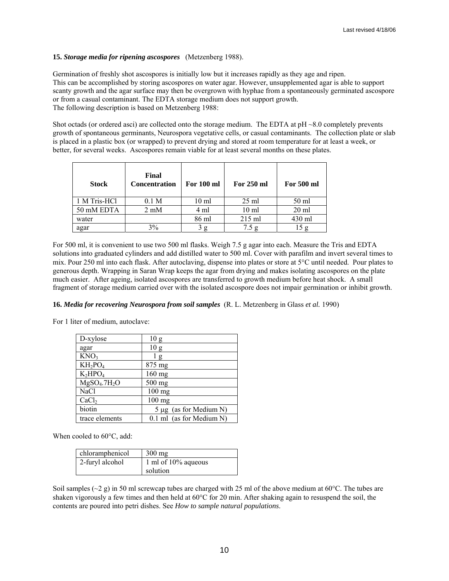# **15.** *Storage media for ripening ascospores* (Metzenberg 1988).

Germination of freshly shot ascospores is initially low but it increases rapidly as they age and ripen. This can be accomplished by storing ascospores on water agar. However, unsupplemented agar is able to support scanty growth and the agar surface may then be overgrown with hyphae from a spontaneously germinated ascospore or from a casual contaminant. The EDTA storage medium does not support growth. The following description is based on Metzenberg 1988:

Shot octads (or ordered asci) are collected onto the storage medium. The EDTA at pH ~8.0 completely prevents growth of spontaneous germinants, Neurospora vegetative cells, or casual contaminants. The collection plate or slab is placed in a plastic box (or wrapped) to prevent drying and stored at room temperature for at least a week, or better, for several weeks. Ascospores remain viable for at least several months on these plates.

| <b>Stock</b> | Final<br><b>Concentration</b> | <b>For 100 ml</b> | For 250 ml       | For 500 ml      |
|--------------|-------------------------------|-------------------|------------------|-----------------|
| 1 M Tris-HCl | 0.1 <sub>M</sub>              | 10 <sub>ml</sub>  | $25 \text{ ml}$  | 50 ml           |
| 50 mM EDTA   | $2 \text{ mM}$                | 4 ml              | 10 <sub>ml</sub> | $20 \text{ ml}$ |
| water        |                               | 86 ml             | $215$ ml         | 430 ml          |
| agar         | 3%                            | g                 | 7.5 g            |                 |

For 500 ml, it is convenient to use two 500 ml flasks. Weigh 7.5 g agar into each. Measure the Tris and EDTA solutions into graduated cylinders and add distilled water to 500 ml. Cover with parafilm and invert several times to mix. Pour 250 ml into each flask. After autoclaving, dispense into plates or store at 5°C until needed. Pour plates to generous depth. Wrapping in Saran Wrap keeps the agar from drying and makes isolating ascospores on the plate much easier. After ageing, isolated ascospores are transferred to growth medium before heat shock. A small fragment of storage medium carried over with the isolated ascospore does not impair germination or inhibit growth.

# **16.** *Media for recovering Neurospora from soil samples* (R. L. Metzenberg in Glass *et al.* 1990)

For 1 liter of medium, autoclave:

| D-xylose                             | 10g                        |
|--------------------------------------|----------------------------|
| agar                                 | 10g                        |
| KNO <sub>3</sub>                     | l g                        |
| $KH_2PO_4$                           | 875 mg                     |
| $K_2HPO_4$                           | 160 mg                     |
| MgSO <sub>4</sub> .7H <sub>2</sub> O | 500 mg                     |
| NaCl                                 | 100 mg                     |
| CaCl <sub>2</sub>                    | $100$ mg                   |
| biotin                               | 5 µg (as for Medium N)     |
| trace elements                       | $0.1$ ml (as for Medium N) |

When cooled to 60°C, add:

| chloramphenicol | $300 \text{ mg}$       |
|-----------------|------------------------|
| 2-furyl alcohol | 1 ml of $10\%$ aqueous |
|                 | solution               |

Soil samples ( $\sim$ 2 g) in 50 ml screwcap tubes are charged with 25 ml of the above medium at 60 $\degree$ C. The tubes are shaken vigorously a few times and then held at 60°C for 20 min. After shaking again to resuspend the soil, the contents are poured into petri dishes. See *How to sample natural populations*.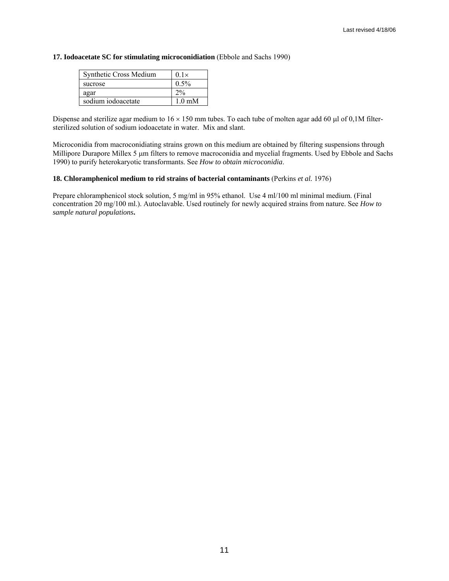### **17. Iodoacetate SC for stimulating microconidiation** (Ebbole and Sachs 1990)

| Synthetic Cross Medium | $0.1\times$      |
|------------------------|------------------|
| sucrose                | $0.5\%$          |
| agar                   | 2%               |
| sodium iodoacetate     | $1.0 \text{ mM}$ |

Dispense and sterilize agar medium to  $16 \times 150$  mm tubes. To each tube of molten agar add 60 µl of 0,1M filtersterilized solution of sodium iodoacetate in water. Mix and slant.

Microconidia from macroconidiating strains grown on this medium are obtained by filtering suspensions through Millipore Durapore Millex 5 µm filters to remove macroconidia and mycelial fragments. Used by Ebbole and Sachs 1990) to purify heterokaryotic transformants. See *How to obtain microconidia*.

### **18. Chloramphenicol medium to rid strains of bacterial contaminants** (Perkins *et al.* 1976)

Prepare chloramphenicol stock solution, 5 mg/ml in 95% ethanol. Use 4 ml/100 ml minimal medium. (Final concentration 20 mg/100 ml.). Autoclavable. Used routinely for newly acquired strains from nature. See *How to sample natural populations***.**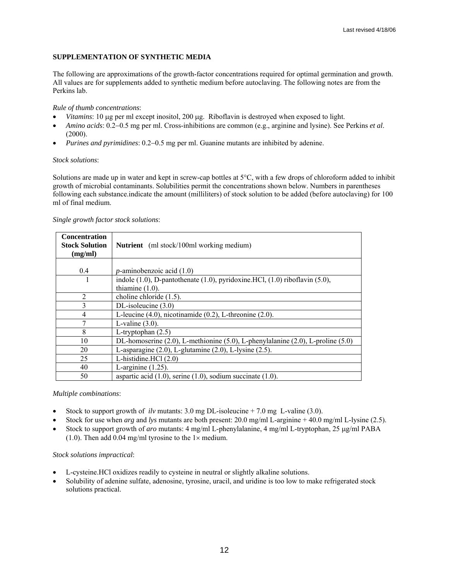# **SUPPLEMENTATION OF SYNTHETIC MEDIA**

The following are approximations of the growth-factor concentrations required for optimal germination and growth. All values are for supplements added to synthetic medium before autoclaving. The following notes are from the Perkins lab.

### *Rule of thumb concentrations*:

- *Vitamins*: 10 µg per ml except inositol, 200 µg. Riboflavin is destroyed when exposed to light.
- *Amino acids*: 0.2−0.5 mg per ml. Cross-inhibitions are common (e.g., arginine and lysine). See Perkins *et al*. (2000).
- *Purines and pyrimidines*: 0.2−0.5 mg per ml. Guanine mutants are inhibited by adenine.

### *Stock solutions*:

Solutions are made up in water and kept in screw-cap bottles at 5°C, with a few drops of chloroform added to inhibit growth of microbial contaminants. Solubilities permit the concentrations shown below. Numbers in parentheses following each substance.indicate the amount (milliliters) of stock solution to be added (before autoclaving) for 100 ml of final medium.

| <b>Concentration</b><br><b>Stock Solution</b><br>(mg/ml) | <b>Nutrient</b> (ml stock/100ml working medium)                                        |
|----------------------------------------------------------|----------------------------------------------------------------------------------------|
|                                                          |                                                                                        |
| 0.4                                                      | $p$ -aminobenzoic acid $(1.0)$                                                         |
|                                                          | indole $(1.0)$ , D-pantothenate $(1.0)$ , pyridoxine.HCl, $(1.0)$ riboflavin $(5.0)$ , |
|                                                          | thiamine $(1.0)$ .                                                                     |
| $\overline{2}$                                           | choline chloride $(1.5)$ .                                                             |
| 3                                                        | DL-isoleucine $(3.0)$                                                                  |
| 4                                                        | L-leucine $(4.0)$ , nicotinamide $(0.2)$ , L-threonine $(2.0)$ .                       |
| 7                                                        | L-valine $(3.0)$ .                                                                     |
| 8                                                        | L-tryptophan $(2.5)$                                                                   |
| 10                                                       | DL-homoserine (2.0), L-methionine (5.0), L-phenylalanine (2.0), L-proline (5.0)        |
| 20                                                       | L-asparagine $(2.0)$ , L-glutamine $(2.0)$ , L-lysine $(2.5)$ .                        |
| 25                                                       | L-histidine. $HC1(2.0)$                                                                |
| 40                                                       | L-arginine $(1.25)$ .                                                                  |
| 50                                                       | aspartic acid $(1.0)$ , serine $(1.0)$ , sodium succinate $(1.0)$ .                    |

### *Single growth factor stock solutions*:

*Multiple combinations*:

- Stock to support growth of *ilv* mutants: 3.0 mg DL-isoleucine + 7.0 mg L-valine (3.0).
- Stock for use when *arg* and *lys* mutants are both present: 20.0 mg/ml L-arginine + 40.0 mg/ml L-lysine (2.5).
- Stock to support growth of *aro* mutants: 4 mg/ml L-phenylalanine, 4 mg/ml L-tryptophan, 25 µg/ml PABA (1.0). Then add 0.04 mg/ml tyrosine to the  $1 \times$  medium.

### *Stock solutions impractical*:

- L-cysteine.HCl oxidizes readily to cysteine in neutral or slightly alkaline solutions.
- Solubility of adenine sulfate, adenosine, tyrosine, uracil, and uridine is too low to make refrigerated stock solutions practical.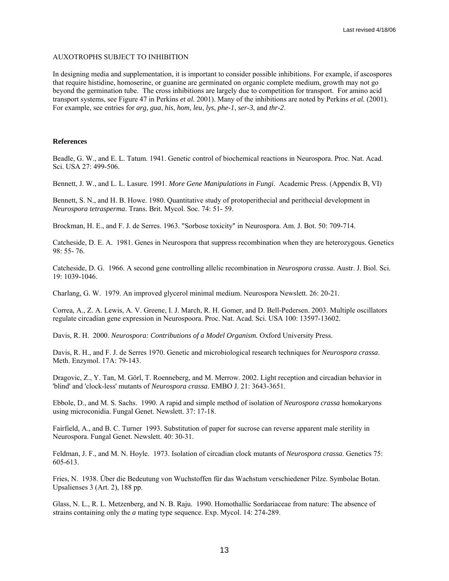### AUXOTROPHS SUBJECT TO INHIBITION

In designing media and supplementation, it is important to consider possible inhibitions. For example, if ascospores that require histidine, homoserine, or guanine are germinated on organic complete medium, growth may not go beyond the germination tube. The cross inhibitions are largely due to competition for transport. For amino acid transport systems, see Figure 47 in Perkins *et al.* 2001). Many of the inhibitions are noted by Perkins *et al.* (2001). For example, see entries for *arg*, *gua*, *his*, *hom*, *leu*, *lys*, *phe-1*, *ser-3*, and *thr-2*.

### **References**

Beadle, G. W., and E. L. Tatum. 1941. Genetic control of biochemical reactions in Neurospora. Proc. Nat. Acad. Sci. USA 27: 499-506.

Bennett, J. W., and L. L. Lasure. 1991. *More Gene Manipulations in Fungi*. Academic Press. (Appendix B, VI)

Bennett, S. N., and H. B. Howe. 1980. Quantitative study of protoperithecial and perithecial development in *Neurospora tetrasperma*. Trans. Brit. Mycol. Soc. 74: 51- 59.

Brockman, H. E., and F. J. de Serres. 1963. "Sorbose toxicity" in Neurospora. Am. J. Bot. 50: 709-714.

Catcheside, D. E. A. 1981. Genes in Neurospora that suppress recombination when they are heterozygous. Genetics 98: 55- 76.

Catcheside, D. G. 1966. A second gene controlling allelic recombination in *Neurospora crassa*. Austr. J. Biol. Sci. 19: 1039-1046.

Charlang, G. W. 1979. An improved glycerol minimal medium. Neurospora Newslett. 26: 20-21.

Correa, A., Z. A. Lewis, A. V. Greene, I. J. March, R. H. Gomer, and D. Bell-Pedersen. 2003. Multiple oscillators regulate circadian gene expression in Neurospoora. Proc. Nat. Acad. Sci. USA 100: 13597-13602.

Davis, R. H. 2000. *Neurospora: Contributions of a Model Organism.* Oxford University Press.

Davis, R. H., and F. J. de Serres 1970. Genetic and microbiological research techniques for *Neurospora crassa*. Meth. Enzymol. 17A: 79-143.

Dragovic, Z., Y. Tan, M. Görl, T. Roenneberg, and M. Merrow. 2002. Light reception and circadian behavior in 'blind' and 'clock-less' mutants of *Neurospora crassa*. EMBO J. 21: 3643-3651.

Ebbole, D., and M. S. Sachs. 1990. A rapid and simple method of isolation of *Neurospora crassa* homokaryons using microconidia. Fungal Genet. Newslett. 37: 17-18.

Fairfield, A., and B. C. Turner 1993. Substitution of paper for sucrose can reverse apparent male sterility in Neurospora. Fungal Genet. Newslett. 40: 30-31.

Feldman, J. F., and M. N. Hoyle. 1973. Isolation of circadian clock mutants of *Neurospora crassa*. Genetics 75: 605-613.

Fries, N. 1938. Über die Bedeutung von Wuchstoffen für das Wachstum verschiedener Pilze. Symbolae Botan. Upsalienses 3 (Art. 2), 188 pp.

Glass, N. L., R. L. Metzenberg, and N. B. Raju. 1990. Homothallic Sordariaceae from nature: The absence of strains containing only the *a* mating type sequence. Exp. Mycol. 14: 274-289.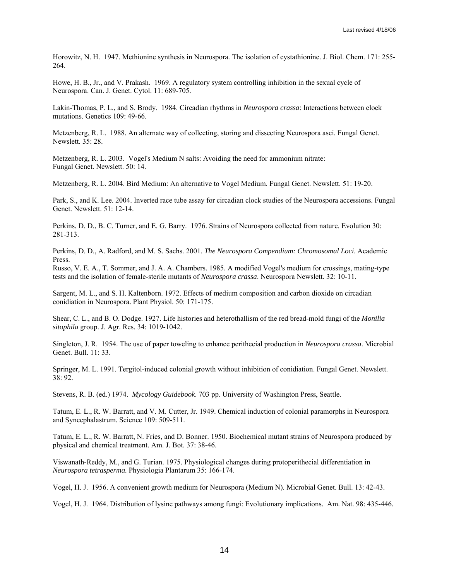Horowitz, N. H. 1947. Methionine synthesis in Neurospora. The isolation of cystathionine. J. Biol. Chem. 171: 255- 264.

Howe, H. B., Jr., and V. Prakash. 1969. A regulatory system controlling inhibition in the sexual cycle of Neurospora. Can. J. Genet. Cytol. 11: 689-705.

Lakin-Thomas, P. L., and S. Brody. 1984. Circadian rhythms in *Neurospora crassa*: Interactions between clock mutations. Genetics 109: 49-66.

Metzenberg, R. L. 1988. An alternate way of collecting, storing and dissecting Neurospora asci. Fungal Genet. Newslett. 35: 28.

Metzenberg, R. L. 2003. Vogel's Medium N salts: Avoiding the need for ammonium nitrate: Fungal Genet. Newslett. 50: 14.

Metzenberg, R. L. 2004. Bird Medium: An alternative to Vogel Medium. Fungal Genet. Newslett. 51: 19-20.

Park, S., and K. Lee. 2004. Inverted race tube assay for circadian clock studies of the Neurospora accessions. Fungal Genet. Newslett. 51: 12-14.

Perkins, D. D., B. C. Turner, and E. G. Barry. 1976. Strains of Neurospora collected from nature. Evolution 30: 281-313.

Perkins, D. D., A. Radford, and M. S. Sachs. 2001. *The Neurospora Compendium: Chromosomal Loci*. Academic Press.

Russo, V. E. A., T. Sommer, and J. A. A. Chambers. 1985. A modified Vogel's medium for crossings, mating-type tests and the isolation of female-sterile mutants of *Neurospora crassa*. Neurospora Newslett. 32: 10-11.

Sargent, M. L., and S. H. Kaltenborn. 1972. Effects of medium composition and carbon dioxide on circadian conidiation in Neurospora. Plant Physiol. 50: 171-175.

Shear, C. L., and B. O. Dodge. 1927. Life histories and heterothallism of the red bread-mold fungi of the *Monilia sitophila* group. J. Agr. Res. 34: 1019-1042.

Singleton, J. R. 1954. The use of paper toweling to enhance perithecial production in *Neurospora crassa*. Microbial Genet. Bull. 11: 33.

Springer, M. L. 1991. Tergitol-induced colonial growth without inhibition of conidiation. Fungal Genet. Newslett. 38: 92.

Stevens, R. B. (ed.) 1974. *Mycology Guidebook*. 703 pp. University of Washington Press, Seattle.

Tatum, E. L., R. W. Barratt, and V. M. Cutter, Jr. 1949. Chemical induction of colonial paramorphs in Neurospora and Syncephalastrum. Science 109: 509-511.

Tatum, E. L., R. W. Barratt, N. Fries, and D. Bonner. 1950. Biochemical mutant strains of Neurospora produced by physical and chemical treatment. Am. J. Bot. 37: 38-46.

Viswanath-Reddy, M., and G. Turian. 1975. Physiological changes during protoperithecial differentiation in *Neurospora tetrasperma.* Physiologia Plantarum 35: 166-174.

Vogel, H. J. 1956. A convenient growth medium for Neurospora (Medium N). Microbial Genet. Bull. 13: 42-43.

Vogel, H. J. 1964. Distribution of lysine pathways among fungi: Evolutionary implications. Am. Nat. 98: 435-446.